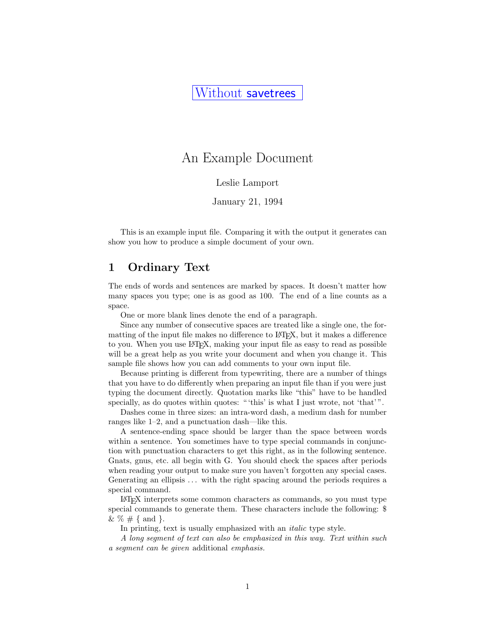Without savetrees

# An Example Document

Leslie Lamport

January 21, 1994

This is an example input file. Comparing it with the output it generates can show you how to produce a simple document of your own.

## 1 Ordinary Text

The ends of words and sentences are marked by spaces. It doesn't matter how many spaces you type; one is as good as 100. The end of a line counts as a space.

One or more blank lines denote the end of a paragraph.

Since any number of consecutive spaces are treated like a single one, the formatting of the input file makes no difference to LAT<sub>E</sub>X, but it makes a difference to you. When you use L<sup>A</sup>TEX, making your input file as easy to read as possible will be a great help as you write your document and when you change it. This sample file shows how you can add comments to your own input file.

Because printing is different from typewriting, there are a number of things that you have to do differently when preparing an input file than if you were just typing the document directly. Quotation marks like "this" have to be handled specially, as do quotes within quotes: " 'this' is what I just wrote, not 'that'".

Dashes come in three sizes: an intra-word dash, a medium dash for number ranges like 1–2, and a punctuation dash—like this.

A sentence-ending space should be larger than the space between words within a sentence. You sometimes have to type special commands in conjunction with punctuation characters to get this right, as in the following sentence. Gnats, gnus, etc. all begin with G. You should check the spaces after periods when reading your output to make sure you haven't forgotten any special cases. Generating an ellipsis ... with the right spacing around the periods requires a special command.

L<sup>A</sup>TEX interprets some common characters as commands, so you must type special commands to generate them. These characters include the following: \$  $& \% \# { and }$ .

In printing, text is usually emphasized with an italic type style.

A long segment of text can also be emphasized in this way. Text within such a segment can be given additional emphasis.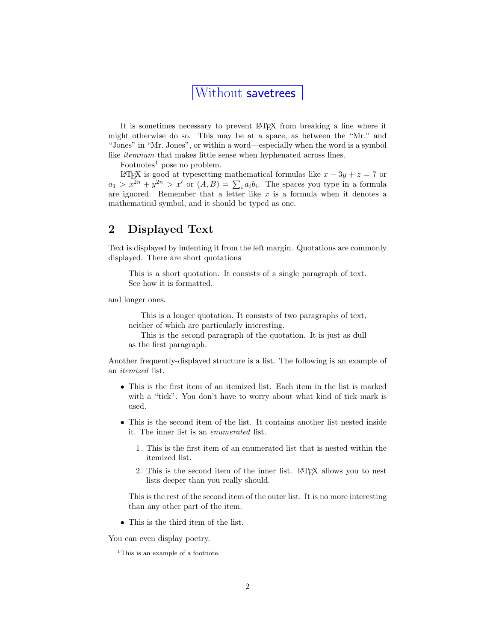Without savetrees

It is sometimes necessary to prevent L<sup>A</sup>TEX from breaking a line where it might otherwise do so. This may be at a space, as between the "Mr." and "Jones" in "Mr. Jones", or within a word—especially when the word is a symbol like itemnum that makes little sense when hyphenated across lines.

Footnotes<sup>1</sup> pose no problem.

LAT<sub>EX</sub> is good at typesetting mathematical formulas like  $x - 3y + z = 7$  or  $a_1 > x^{2n} + y^{2n} > x'$  or  $(A, B) = \sum_i a_i b_i$ . The spaces you type in a formula are ignored. Remember that a letter like  $x$  is a formula when it denotes a mathematical symbol, and it should be typed as one.

# 2 Displayed Text

Text is displayed by indenting it from the left margin. Quotations are commonly displayed. There are short quotations

This is a short quotation. It consists of a single paragraph of text. See how it is formatted.

and longer ones.

This is a longer quotation. It consists of two paragraphs of text, neither of which are particularly interesting.

This is the second paragraph of the quotation. It is just as dull as the first paragraph.

Another frequently-displayed structure is a list. The following is an example of an itemized list.

- This is the first item of an itemized list. Each item in the list is marked with a "tick". You don't have to worry about what kind of tick mark is used.
- This is the second item of the list. It contains another list nested inside it. The inner list is an enumerated list.
	- 1. This is the first item of an enumerated list that is nested within the itemized list.
	- 2. This is the second item of the inner list. LAT<sub>E</sub>X allows you to nest lists deeper than you really should.

This is the rest of the second item of the outer list. It is no more interesting than any other part of the item.

• This is the third item of the list.

You can even display poetry.

<sup>&</sup>lt;sup>1</sup>This is an example of a footnote.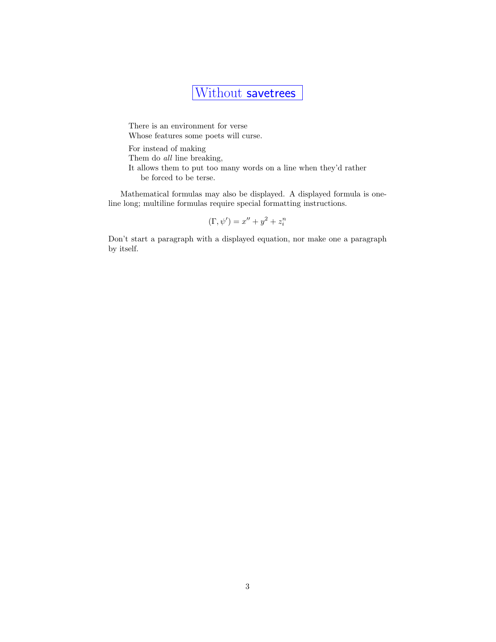Without savetrees

There is an environment for verse Whose features some poets will curse.

For instead of making

Them do all line breaking,

It allows them to put too many words on a line when they'd rather be forced to be terse.

Mathematical formulas may also be displayed. A displayed formula is oneline long; multiline formulas require special formatting instructions.

$$
(\Gamma, \psi') = x'' + y^2 + z_i^n
$$

Don't start a paragraph with a displayed equation, nor make one a paragraph by itself.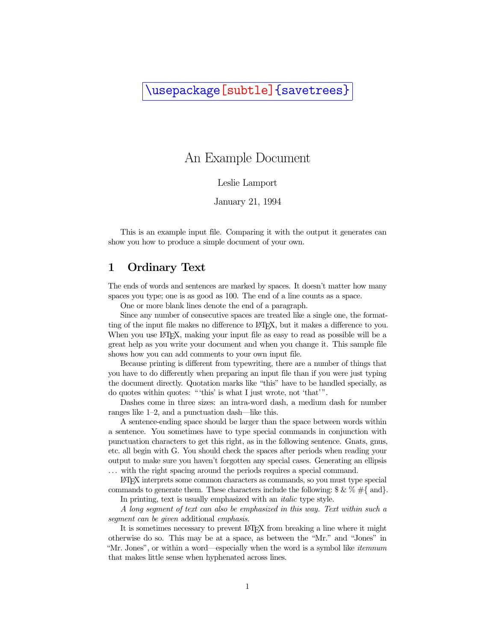\usepackage[subtle]{savetrees}

# An Example Document

Leslie Lamport

January 21, 1994

This is an example input file. Comparing it with the output it generates can show you how to produce a simple document of your own.

## 1 Ordinary Text

The ends of words and sentences are marked by spaces. It doesn't matter how many spaces you type; one is as good as 100. The end of a line counts as a space.

One or more blank lines denote the end of a paragraph.

Since any number of consecutive spaces are treated like a single one, the formatting of the input file makes no difference to LAT<sub>E</sub>X, but it makes a difference to you. When you use LATEX, making your input file as easy to read as possible will be a great help as you write your document and when you change it. This sample file shows how you can add comments to your own input file.

Because printing is different from typewriting, there are a number of things that you have to do differently when preparing an input file than if you were just typing the document directly. Quotation marks like "this" have to be handled specially, as do quotes within quotes: "'this' is what I just wrote, not 'that'".

Dashes come in three sizes: an intra-word dash, a medium dash for number ranges like 1–2, and a punctuation dash—like this.

A sentence-ending space should be larger than the space between words within a sentence. You sometimes have to type special commands in conjunction with punctuation characters to get this right, as in the following sentence. Gnats, gnus, etc. all begin with G. You should check the spaces after periods when reading your output to make sure you haven't forgotten any special cases. Generating an ellipsis . . . with the right spacing around the periods requires a special command.

L<sup>A</sup>TEX interprets some common characters as commands, so you must type special commands to generate them. These characters include the following:  $\& \%$  #{ and}.

In printing, text is usually emphasized with an italic type style.

A long segment of text can also be emphasized in this way. Text within such a segment can be given additional emphasis.

It is sometimes necessary to prevent L<sup>A</sup>TEX from breaking a line where it might otherwise do so. This may be at a space, as between the "Mr." and "Jones" in "Mr. Jones", or within a word—especially when the word is a symbol like *itemnum* that makes little sense when hyphenated across lines.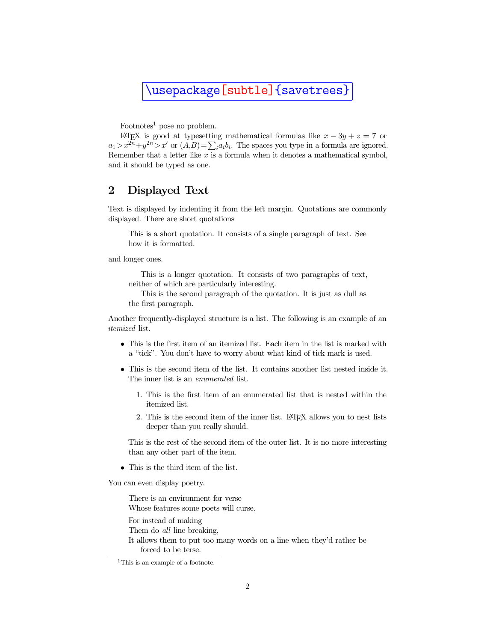# \usepackage[subtle]{savetrees}

Footnotes<sup>1</sup> pose no problem.

LATEX is good at typesetting mathematical formulas like  $x - 3y + z = 7$  or  $a_1 > x^{2n} + y^{2n} > x'$  or  $(A,B) = \sum_i a_i b_i$ . The spaces you type in a formula are ignored. Remember that a letter like  $x$  is a formula when it denotes a mathematical symbol, and it should be typed as one.

### 2 Displayed Text

Text is displayed by indenting it from the left margin. Quotations are commonly displayed. There are short quotations

This is a short quotation. It consists of a single paragraph of text. See how it is formatted.

and longer ones.

This is a longer quotation. It consists of two paragraphs of text, neither of which are particularly interesting.

This is the second paragraph of the quotation. It is just as dull as the first paragraph.

Another frequently-displayed structure is a list. The following is an example of an itemized list.

- This is the first item of an itemized list. Each item in the list is marked with a "tick". You don't have to worry about what kind of tick mark is used.
- This is the second item of the list. It contains another list nested inside it. The inner list is an enumerated list.
	- 1. This is the first item of an enumerated list that is nested within the itemized list.
	- 2. This is the second item of the inner list. LAT<sub>EX</sub> allows you to nest lists deeper than you really should.

This is the rest of the second item of the outer list. It is no more interesting than any other part of the item.

• This is the third item of the list.

You can even display poetry.

There is an environment for verse Whose features some poets will curse.

For instead of making

Them do *all* line breaking,

It allows them to put too many words on a line when they'd rather be forced to be terse.

<sup>&</sup>lt;sup>1</sup>This is an example of a footnote.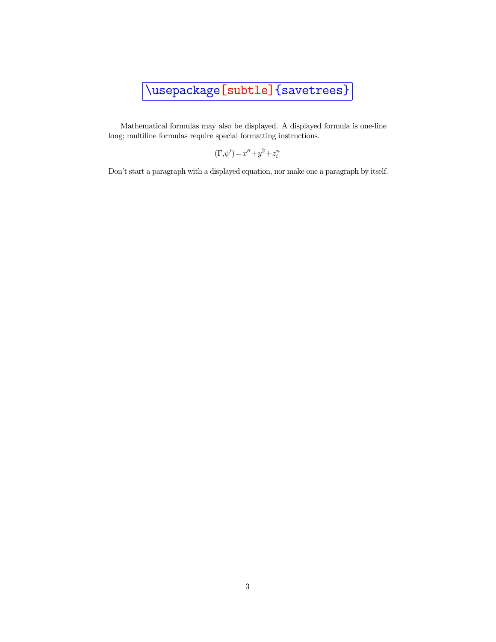# \usepackage[subtle]{savetrees}

Mathematical formulas may also be displayed. A displayed formula is one-line long; multiline formulas require special formatting instructions.

$$
(\Gamma, \psi') = x'' + y^2 + z_i^n
$$

Don't start a paragraph with a displayed equation, nor make one a paragraph by itself.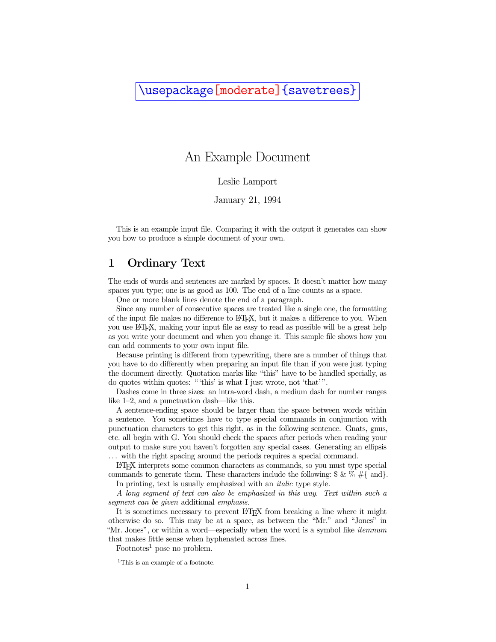\usepackage[moderate]{savetrees}

# An Example Document

#### Leslie Lamport

January 21, 1994

This is an example input file. Comparing it with the output it generates can show you how to produce a simple document of your own.

## 1 Ordinary Text

The ends of words and sentences are marked by spaces. It doesn't matter how many spaces you type; one is as good as 100. The end of a line counts as a space.

One or more blank lines denote the end of a paragraph.

Since any number of consecutive spaces are treated like a single one, the formatting of the input file makes no difference to L<sup>A</sup>TEX, but it makes a difference to you. When you use L<sup>A</sup>TEX, making your input file as easy to read as possible will be a great help as you write your document and when you change it. This sample file shows how you can add comments to your own input file.

Because printing is different from typewriting, there are a number of things that you have to do differently when preparing an input file than if you were just typing the document directly. Quotation marks like "this" have to be handled specially, as do quotes within quotes: " 'this' is what I just wrote, not 'that'".

Dashes come in three sizes: an intra-word dash, a medium dash for number ranges like 1–2, and a punctuation dash—like this.

A sentence-ending space should be larger than the space between words within a sentence. You sometimes have to type special commands in conjunction with punctuation characters to get this right, as in the following sentence. Gnats, gnus, etc. all begin with G. You should check the spaces after periods when reading your output to make sure you haven't forgotten any special cases. Generating an ellipsis ... with the right spacing around the periods requires a special command.

L<sup>A</sup>TEX interprets some common characters as commands, so you must type special commands to generate them. These characters include the following:  $\& \%$  #{ and}.

In printing, text is usually emphasized with an *italic* type style.

A long segment of text can also be emphasized in this way. Text within such a segment can be given additional emphasis.

It is sometimes necessary to prevent LAT<sub>EX</sub> from breaking a line where it might otherwise do so. This may be at a space, as between the "Mr." and "Jones" in "Mr. Jones", or within a word—especially when the word is a symbol like *itemnum* that makes little sense when hyphenated across lines.

 $Fotnotes<sup>1</sup> pose no problem.$ 

<sup>&</sup>lt;sup>1</sup>This is an example of a footnote.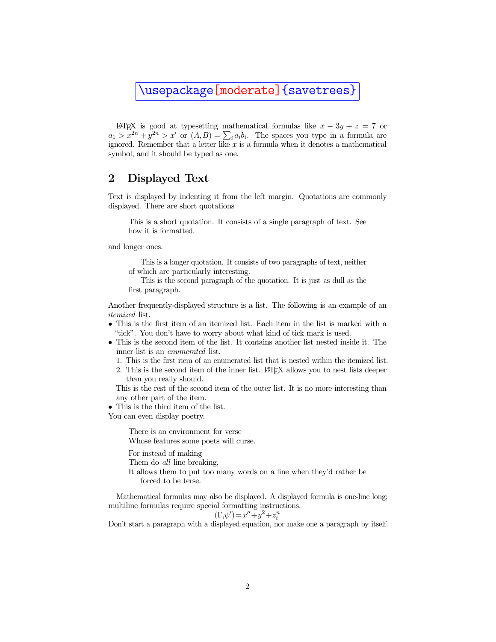# \usepackage[moderate]{savetrees}

LATEX is good at typesetting mathematical formulas like  $x - 3y + z = 7$  or  $a_1 > x^{2n} + y^{2n} > x'$  or  $(A, B) = \sum_i a_i b_i$ . The spaces you type in a formula are ignored. Remember that a letter like  $x$  is a formula when it denotes a mathematical symbol, and it should be typed as one.

## 2 Displayed Text

Text is displayed by indenting it from the left margin. Quotations are commonly displayed. There are short quotations

This is a short quotation. It consists of a single paragraph of text. See how it is formatted.

and longer ones.

This is a longer quotation. It consists of two paragraphs of text, neither of which are particularly interesting.

This is the second paragraph of the quotation. It is just as dull as the first paragraph.

Another frequently-displayed structure is a list. The following is an example of an itemized list.

- This is the first item of an itemized list. Each item in the list is marked with a "tick". You don't have to worry about what kind of tick mark is used.
- This is the second item of the list. It contains another list nested inside it. The inner list is an enumerated list.
	- 1. This is the first item of an enumerated list that is nested within the itemized list.
	- 2. This is the second item of the inner list. L<sup>A</sup>TEX allows you to nest lists deeper than you really should.

This is the rest of the second item of the outer list. It is no more interesting than any other part of the item.

• This is the third item of the list.

You can even display poetry.

There is an environment for verse

Whose features some poets will curse.

For instead of making

Them do *all* line breaking,

It allows them to put too many words on a line when they'd rather be forced to be terse.

Mathematical formulas may also be displayed. A displayed formula is one-line long; multiline formulas require special formatting instructions.

$$
(\Gamma, \psi') = x'' + y^2 + z_i^n
$$

Don't start a paragraph with a displayed equation, nor make one a paragraph by itself.